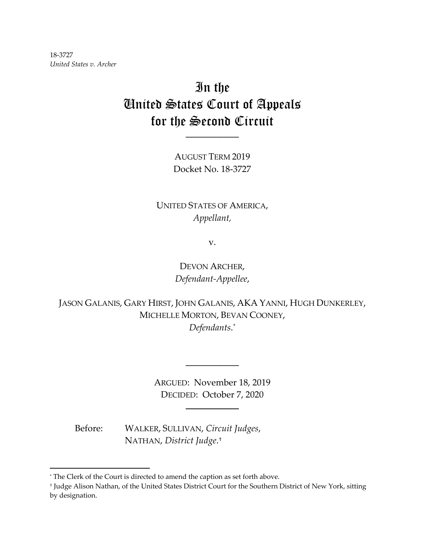18-3727 *United States v. Archer*

# In the United States Court of Appeals for the Second Circuit

AUGUST TERM 2019 Docket No. 18-3727

\_\_\_\_\_\_\_\_\_\_\_\_\_\_

UNITED STATES OF AMERICA, *Appellant,*

v.

DEVON ARCHER, *Defendant-Appellee*,

JASON GALANIS, GARY HIRST, JOHN GALANIS, AKA YANNI, HUGH DUNKERLEY, MICHELLE MORTON, BEVAN COONEY, *Defendants*.[\\*](#page-0-0)

> ARGUED: November 18, 2019 DECIDED: October 7, 2020

> > \_\_\_\_\_\_\_\_\_\_\_\_\_\_

\_\_\_\_\_\_\_\_\_\_\_\_\_\_

Before: WALKER, SULLIVAN, *Circuit Judges*, NATHAN, *District Judge*.[†](#page-0-1)

<span id="page-0-0"></span><sup>\*</sup> The Clerk of the Court is directed to amend the caption as set forth above.

<span id="page-0-1"></span><sup>†</sup> Judge Alison Nathan, of the United States District Court for the Southern District of New York, sitting by designation.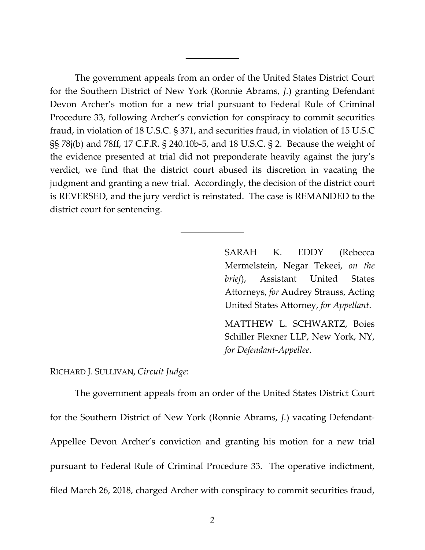The government appeals from an order of the United States District Court for the Southern District of New York (Ronnie Abrams, *J.*) granting Defendant Devon Archer's motion for a new trial pursuant to Federal Rule of Criminal Procedure 33, following Archer's conviction for conspiracy to commit securities fraud, in violation of 18 U.S.C. § 371, and securities fraud, in violation of 15 U.S.C §§ 78j(b) and 78ff, 17 C.F.R. § 240.10b-5, and 18 U.S.C. § 2. Because the weight of the evidence presented at trial did not preponderate heavily against the jury's verdict, we find that the district court abused its discretion in vacating the judgment and granting a new trial. Accordingly, the decision of the district court is REVERSED, and the jury verdict is reinstated. The case is REMANDED to the district court for sentencing.

 $\mathcal{L}_\text{max}$  , we have the set of  $\mathcal{L}_\text{max}$ 

\_\_\_\_\_\_\_\_\_\_\_\_\_\_

SARAH K. EDDY (Rebecca Mermelstein, Negar Tekeei, *on the brief*), Assistant United States Attorneys, *for* Audrey Strauss, Acting United States Attorney, *for Appellant*.

MATTHEW L. SCHWARTZ, Boies Schiller Flexner LLP, New York, NY, *for Defendant-Appellee*.

RICHARD J. SULLIVAN, *Circuit Judge*:

The government appeals from an order of the United States District Court for the Southern District of New York (Ronnie Abrams, *J.*) vacating Defendant-Appellee Devon Archer's conviction and granting his motion for a new trial pursuant to Federal Rule of Criminal Procedure 33. The operative indictment, filed March 26, 2018, charged Archer with conspiracy to commit securities fraud,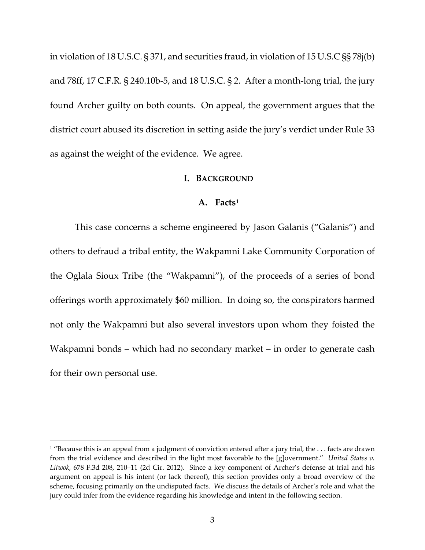in violation of 18 U.S.C. § 371, and securities fraud, in violation of 15 U.S.C §§ 78j(b) and 78ff, 17 C.F.R. § 240.10b-5, and 18 U.S.C. § 2. After a month-long trial, the jury found Archer guilty on both counts. On appeal, the government argues that the district court abused its discretion in setting aside the jury's verdict under Rule 33 as against the weight of the evidence. We agree.

#### **I. BACKGROUND**

#### **A. Facts[1](#page-2-0)**

This case concerns a scheme engineered by Jason Galanis ("Galanis") and others to defraud a tribal entity, the Wakpamni Lake Community Corporation of the Oglala Sioux Tribe (the "Wakpamni"), of the proceeds of a series of bond offerings worth approximately \$60 million. In doing so, the conspirators harmed not only the Wakpamni but also several investors upon whom they foisted the Wakpamni bonds – which had no secondary market – in order to generate cash for their own personal use.

<span id="page-2-0"></span> $1$  "Because this is an appeal from a judgment of conviction entered after a jury trial, the  $\dots$  facts are drawn from the trial evidence and described in the light most favorable to the [g]overnment." *United States v. Litwok*, 678 F.3d 208, 210–11 (2d Cir. 2012). Since a key component of Archer's defense at trial and his argument on appeal is his intent (or lack thereof), this section provides only a broad overview of the scheme, focusing primarily on the undisputed facts. We discuss the details of Archer's role and what the jury could infer from the evidence regarding his knowledge and intent in the following section.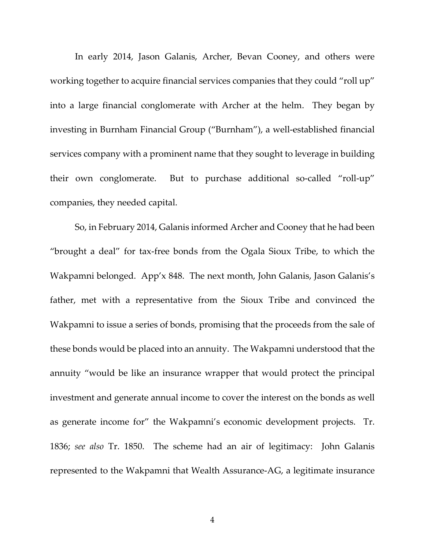In early 2014, Jason Galanis, Archer, Bevan Cooney, and others were working together to acquire financial services companies that they could "roll up" into a large financial conglomerate with Archer at the helm. They began by investing in Burnham Financial Group ("Burnham"), a well-established financial services company with a prominent name that they sought to leverage in building their own conglomerate. But to purchase additional so-called "roll-up" companies, they needed capital.

So, in February 2014, Galanis informed Archer and Cooney that he had been "brought a deal" for tax-free bonds from the Ogala Sioux Tribe, to which the Wakpamni belonged. App'x 848. The next month, John Galanis, Jason Galanis's father, met with a representative from the Sioux Tribe and convinced the Wakpamni to issue a series of bonds, promising that the proceeds from the sale of these bonds would be placed into an annuity. The Wakpamni understood that the annuity "would be like an insurance wrapper that would protect the principal investment and generate annual income to cover the interest on the bonds as well as generate income for" the Wakpamni's economic development projects. Tr. 1836; *see also* Tr. 1850. The scheme had an air of legitimacy: John Galanis represented to the Wakpamni that Wealth Assurance-AG, a legitimate insurance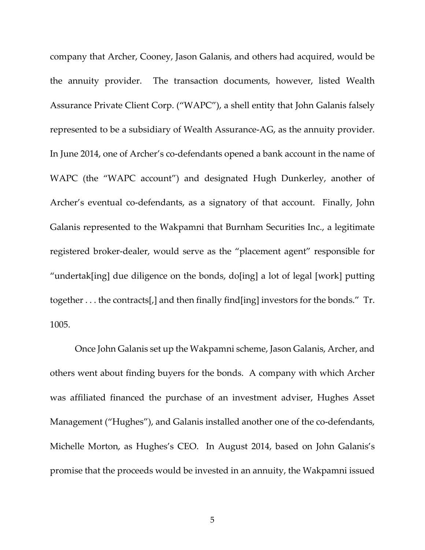company that Archer, Cooney, Jason Galanis, and others had acquired, would be the annuity provider. The transaction documents, however, listed Wealth Assurance Private Client Corp. ("WAPC"), a shell entity that John Galanis falsely represented to be a subsidiary of Wealth Assurance-AG, as the annuity provider. In June 2014, one of Archer's co-defendants opened a bank account in the name of WAPC (the "WAPC account") and designated Hugh Dunkerley, another of Archer's eventual co-defendants, as a signatory of that account. Finally, John Galanis represented to the Wakpamni that Burnham Securities Inc., a legitimate registered broker-dealer, would serve as the "placement agent" responsible for "undertak[ing] due diligence on the bonds, do[ing] a lot of legal [work] putting together . . . the contracts[,] and then finally find[ing] investors for the bonds." Tr. 1005.

Once John Galanis set up the Wakpamni scheme, Jason Galanis, Archer, and others went about finding buyers for the bonds. A company with which Archer was affiliated financed the purchase of an investment adviser, Hughes Asset Management ("Hughes"), and Galanis installed another one of the co-defendants, Michelle Morton, as Hughes's CEO. In August 2014, based on John Galanis's promise that the proceeds would be invested in an annuity, the Wakpamni issued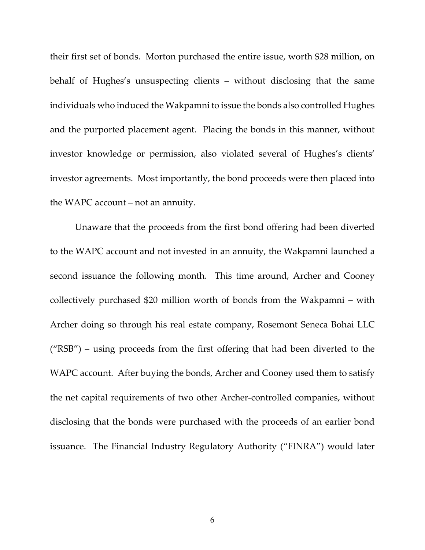their first set of bonds. Morton purchased the entire issue, worth \$28 million, on behalf of Hughes's unsuspecting clients – without disclosing that the same individuals who induced the Wakpamni to issue the bonds also controlled Hughes and the purported placement agent. Placing the bonds in this manner, without investor knowledge or permission, also violated several of Hughes's clients' investor agreements. Most importantly, the bond proceeds were then placed into the WAPC account – not an annuity.

Unaware that the proceeds from the first bond offering had been diverted to the WAPC account and not invested in an annuity, the Wakpamni launched a second issuance the following month. This time around, Archer and Cooney collectively purchased \$20 million worth of bonds from the Wakpamni – with Archer doing so through his real estate company, Rosemont Seneca Bohai LLC ("RSB") – using proceeds from the first offering that had been diverted to the WAPC account. After buying the bonds, Archer and Cooney used them to satisfy the net capital requirements of two other Archer-controlled companies, without disclosing that the bonds were purchased with the proceeds of an earlier bond issuance. The Financial Industry Regulatory Authority ("FINRA") would later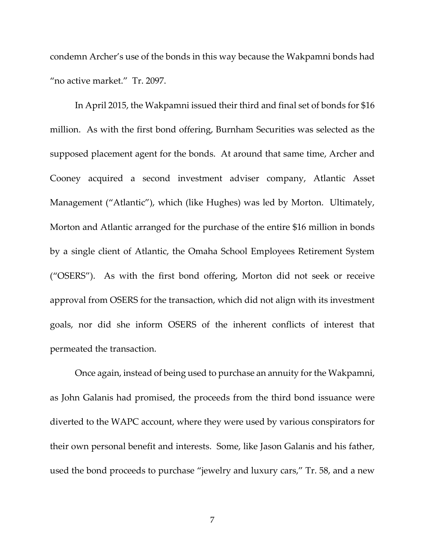condemn Archer's use of the bonds in this way because the Wakpamni bonds had "no active market." Tr. 2097.

In April 2015, the Wakpamni issued their third and final set of bonds for \$16 million. As with the first bond offering, Burnham Securities was selected as the supposed placement agent for the bonds. At around that same time, Archer and Cooney acquired a second investment adviser company, Atlantic Asset Management ("Atlantic"), which (like Hughes) was led by Morton. Ultimately, Morton and Atlantic arranged for the purchase of the entire \$16 million in bonds by a single client of Atlantic, the Omaha School Employees Retirement System ("OSERS"). As with the first bond offering, Morton did not seek or receive approval from OSERS for the transaction, which did not align with its investment goals, nor did she inform OSERS of the inherent conflicts of interest that permeated the transaction.

Once again, instead of being used to purchase an annuity for the Wakpamni, as John Galanis had promised, the proceeds from the third bond issuance were diverted to the WAPC account, where they were used by various conspirators for their own personal benefit and interests. Some, like Jason Galanis and his father, used the bond proceeds to purchase "jewelry and luxury cars," Tr. 58, and a new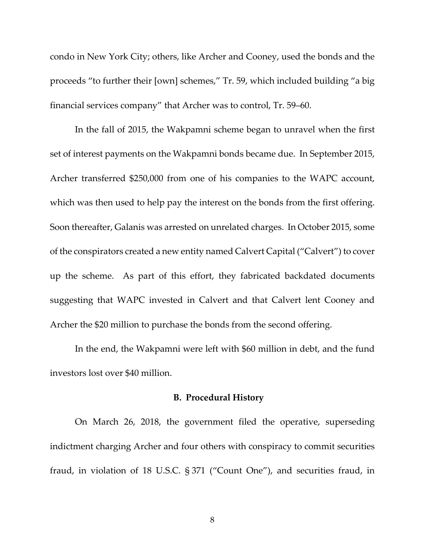condo in New York City; others, like Archer and Cooney, used the bonds and the proceeds "to further their [own] schemes," Tr. 59, which included building "a big financial services company" that Archer was to control, Tr. 59–60.

In the fall of 2015, the Wakpamni scheme began to unravel when the first set of interest payments on the Wakpamni bonds became due. In September 2015, Archer transferred \$250,000 from one of his companies to the WAPC account, which was then used to help pay the interest on the bonds from the first offering. Soon thereafter, Galanis was arrested on unrelated charges. In October 2015, some of the conspirators created a new entity named Calvert Capital ("Calvert") to cover up the scheme. As part of this effort, they fabricated backdated documents suggesting that WAPC invested in Calvert and that Calvert lent Cooney and Archer the \$20 million to purchase the bonds from the second offering.

In the end, the Wakpamni were left with \$60 million in debt, and the fund investors lost over \$40 million.

### **B. Procedural History**

On March 26, 2018, the government filed the operative, superseding indictment charging Archer and four others with conspiracy to commit securities fraud, in violation of 18 U.S.C. § 371 ("Count One"), and securities fraud, in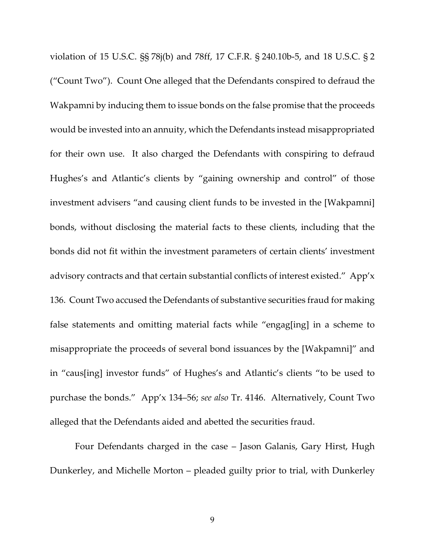violation of 15 U.S.C. §§ 78j(b) and 78ff, 17 C.F.R. § 240.10b-5, and 18 U.S.C. § 2 ("Count Two"). Count One alleged that the Defendants conspired to defraud the Wakpamni by inducing them to issue bonds on the false promise that the proceeds would be invested into an annuity, which the Defendants instead misappropriated for their own use. It also charged the Defendants with conspiring to defraud Hughes's and Atlantic's clients by "gaining ownership and control" of those investment advisers "and causing client funds to be invested in the [Wakpamni] bonds, without disclosing the material facts to these clients, including that the bonds did not fit within the investment parameters of certain clients' investment advisory contracts and that certain substantial conflicts of interest existed." App'x 136. Count Two accused the Defendants of substantive securities fraud for making false statements and omitting material facts while "engag[ing] in a scheme to misappropriate the proceeds of several bond issuances by the [Wakpamni]" and in "caus[ing] investor funds" of Hughes's and Atlantic's clients "to be used to purchase the bonds." App'x 134–56; *see also* Tr. 4146. Alternatively, Count Two alleged that the Defendants aided and abetted the securities fraud.

Four Defendants charged in the case – Jason Galanis, Gary Hirst, Hugh Dunkerley, and Michelle Morton – pleaded guilty prior to trial, with Dunkerley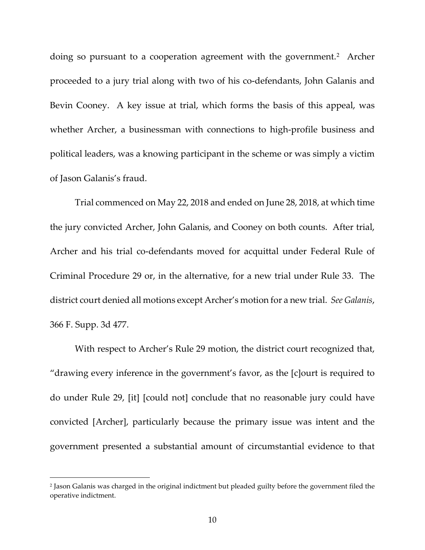doing so pursuant to a cooperation agreement with the government.<sup>[2](#page-9-0)</sup> Archer proceeded to a jury trial along with two of his co-defendants, John Galanis and Bevin Cooney. A key issue at trial, which forms the basis of this appeal, was whether Archer, a businessman with connections to high-profile business and political leaders, was a knowing participant in the scheme or was simply a victim of Jason Galanis's fraud.

Trial commenced on May 22, 2018 and ended on June 28, 2018, at which time the jury convicted Archer, John Galanis, and Cooney on both counts. After trial, Archer and his trial co-defendants moved for acquittal under Federal Rule of Criminal Procedure 29 or, in the alternative, for a new trial under Rule 33. The district court denied all motions except Archer's motion for a new trial. *See Galanis*, 366 F. Supp. 3d 477.

With respect to Archer's Rule 29 motion, the district court recognized that, "drawing every inference in the government's favor, as the [c]ourt is required to do under Rule 29, [it] [could not] conclude that no reasonable jury could have convicted [Archer], particularly because the primary issue was intent and the government presented a substantial amount of circumstantial evidence to that

<span id="page-9-0"></span><sup>2</sup> Jason Galanis was charged in the original indictment but pleaded guilty before the government filed the operative indictment.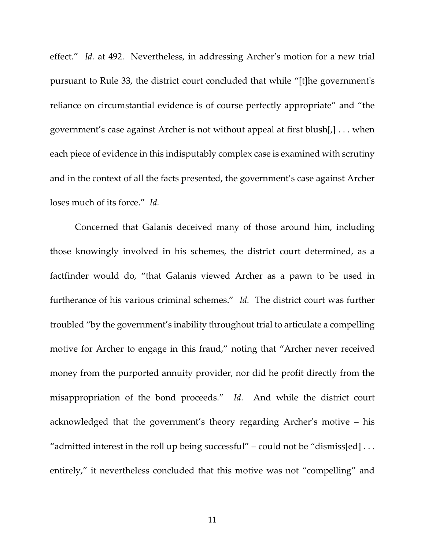effect." *Id.* at 492. Nevertheless, in addressing Archer's motion for a new trial pursuant to Rule 33, the district court concluded that while "[t]he government's reliance on circumstantial evidence is of course perfectly appropriate" and "the government's case against Archer is not without appeal at first blush[,] . . . when each piece of evidence in this indisputably complex case is examined with scrutiny and in the context of all the facts presented, the government's case against Archer loses much of its force." *Id.* 

Concerned that Galanis deceived many of those around him, including those knowingly involved in his schemes, the district court determined, as a factfinder would do, "that Galanis viewed Archer as a pawn to be used in furtherance of his various criminal schemes." *Id.* The district court was further troubled "by the government's inability throughout trial to articulate a compelling motive for Archer to engage in this fraud," noting that "Archer never received money from the purported annuity provider, nor did he profit directly from the misappropriation of the bond proceeds." *Id.* And while the district court acknowledged that the government's theory regarding Archer's motive – his "admitted interest in the roll up being successful" – could not be "dismiss[ed]  $\dots$ entirely," it nevertheless concluded that this motive was not "compelling" and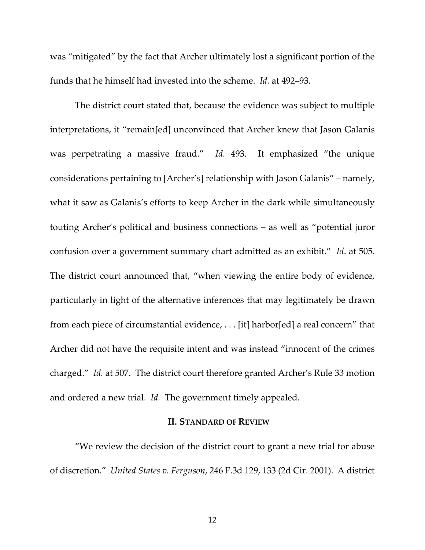was "mitigated" by the fact that Archer ultimately lost a significant portion of the funds that he himself had invested into the scheme. *Id.* at 492–93.

The district court stated that, because the evidence was subject to multiple interpretations, it "remain[ed] unconvinced that Archer knew that Jason Galanis was perpetrating a massive fraud." *Id.* 493. It emphasized "the unique considerations pertaining to [Archer's] relationship with Jason Galanis" – namely, what it saw as Galanis's efforts to keep Archer in the dark while simultaneously touting Archer's political and business connections – as well as "potential juror confusion over a government summary chart admitted as an exhibit." *Id*. at 505. The district court announced that, "when viewing the entire body of evidence, particularly in light of the alternative inferences that may legitimately be drawn from each piece of circumstantial evidence, . . . [it] harbor[ed] a real concern" that Archer did not have the requisite intent and was instead "innocent of the crimes charged." *Id.* at 507. The district court therefore granted Archer's Rule 33 motion and ordered a new trial. *Id.* The government timely appealed.

#### **II. STANDARD OF REVIEW**

"We review the decision of the district court to grant a new trial for abuse of discretion." *United States v. Ferguson*, 246 F.3d 129, 133 (2d Cir. 2001). A district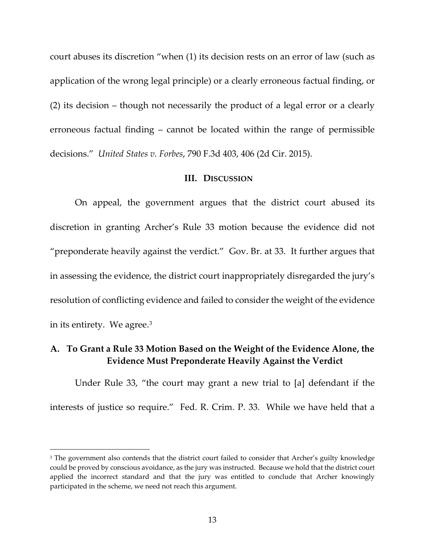court abuses its discretion "when (1) its decision rests on an error of law (such as application of the wrong legal principle) or a clearly erroneous factual finding, or (2) its decision – though not necessarily the product of a legal error or a clearly erroneous factual finding – cannot be located within the range of permissible decisions." *United States v. Forbes*, 790 F.3d 403, 406 (2d Cir. 2015).

#### **III. DISCUSSION**

On appeal, the government argues that the district court abused its discretion in granting Archer's Rule 33 motion because the evidence did not "preponderate heavily against the verdict." Gov. Br. at 33. It further argues that in assessing the evidence, the district court inappropriately disregarded the jury's resolution of conflicting evidence and failed to consider the weight of the evidence in its entirety. We agree.[3](#page-12-0)

# **A. To Grant a Rule 33 Motion Based on the Weight of the Evidence Alone, the Evidence Must Preponderate Heavily Against the Verdict**

Under Rule 33, "the court may grant a new trial to [a] defendant if the interests of justice so require." Fed. R. Crim. P. 33. While we have held that a

<span id="page-12-0"></span><sup>&</sup>lt;sup>3</sup> The government also contends that the district court failed to consider that Archer's guilty knowledge could be proved by conscious avoidance, as the jury was instructed. Because we hold that the district court applied the incorrect standard and that the jury was entitled to conclude that Archer knowingly participated in the scheme, we need not reach this argument.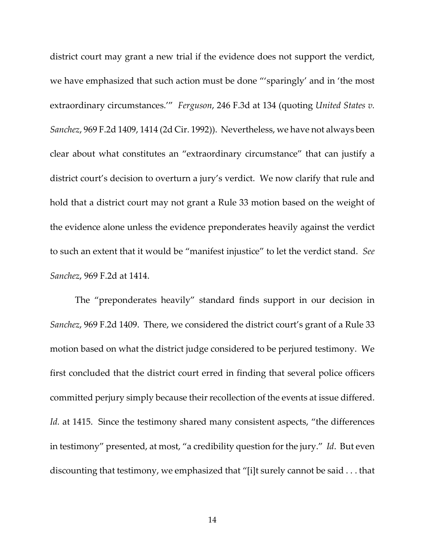district court may grant a new trial if the evidence does not support the verdict, we have emphasized that such action must be done "'sparingly' and in 'the most extraordinary circumstances.'" *Ferguson*, 246 F.3d at 134 (quoting *United States v. Sanchez*, 969 F.2d 1409, 1414 (2d Cir. 1992)). Nevertheless, we have not always been clear about what constitutes an "extraordinary circumstance" that can justify a district court's decision to overturn a jury's verdict. We now clarify that rule and hold that a district court may not grant a Rule 33 motion based on the weight of the evidence alone unless the evidence preponderates heavily against the verdict to such an extent that it would be "manifest injustice" to let the verdict stand. *See Sanchez*, 969 F.2d at 1414.

The "preponderates heavily" standard finds support in our decision in *Sanchez*, 969 F.2d 1409. There, we considered the district court's grant of a Rule 33 motion based on what the district judge considered to be perjured testimony. We first concluded that the district court erred in finding that several police officers committed perjury simply because their recollection of the events at issue differed. Id. at 1415. Since the testimony shared many consistent aspects, "the differences in testimony" presented, at most, "a credibility question for the jury." *Id*. But even discounting that testimony, we emphasized that "[i]t surely cannot be said . . . that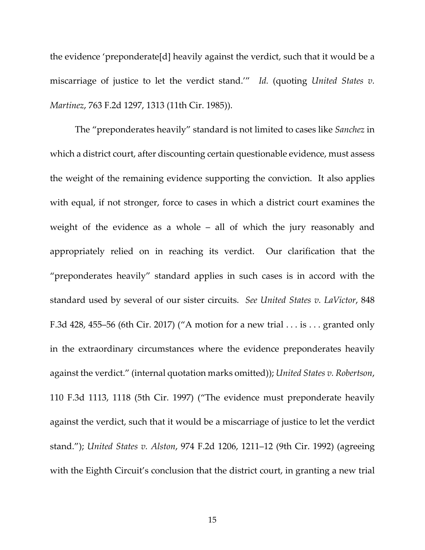the evidence 'preponderate[d] heavily against the verdict, such that it would be a miscarriage of justice to let the verdict stand.'" *Id.* (quoting *United States v. Martinez*, 763 F.2d 1297, 1313 (11th Cir. 1985)).

The "preponderates heavily" standard is not limited to cases like *Sanchez* in which a district court, after discounting certain questionable evidence, must assess the weight of the remaining evidence supporting the conviction. It also applies with equal, if not stronger, force to cases in which a district court examines the weight of the evidence as a whole – all of which the jury reasonably and appropriately relied on in reaching its verdict. Our clarification that the "preponderates heavily" standard applies in such cases is in accord with the standard used by several of our sister circuits. *See United States v. LaVictor*, 848 F.3d 428, 455–56 (6th Cir. 2017) ("A motion for a new trial . . . is . . . granted only in the extraordinary circumstances where the evidence preponderates heavily against the verdict." (internal quotation marks omitted)); *United States v. Robertson*, 110 F.3d 1113, 1118 (5th Cir. 1997) ("The evidence must preponderate heavily against the verdict, such that it would be a miscarriage of justice to let the verdict stand."); *United States v. Alston*, 974 F.2d 1206, 1211–12 (9th Cir. 1992) (agreeing with the Eighth Circuit's conclusion that the district court, in granting a new trial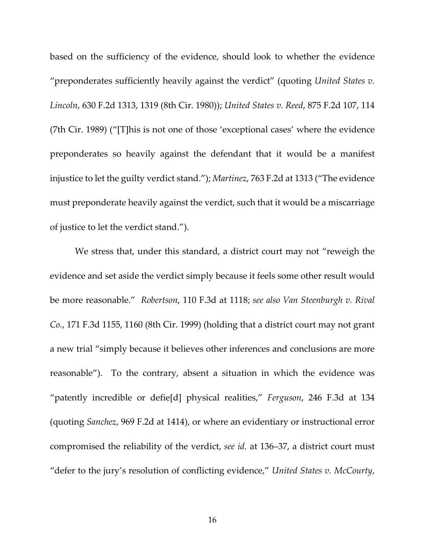based on the sufficiency of the evidence, should look to whether the evidence "preponderates sufficiently heavily against the verdict" (quoting *United States v. Lincoln*, 630 F.2d 1313, 1319 (8th Cir. 1980)); *United States v. Reed*, 875 F.2d 107, 114 (7th Cir. 1989) ("[T]his is not one of those 'exceptional cases' where the evidence preponderates so heavily against the defendant that it would be a manifest injustice to let the guilty verdict stand."); *Martinez*, 763 F.2d at 1313 ("The evidence must preponderate heavily against the verdict, such that it would be a miscarriage of justice to let the verdict stand.").

We stress that, under this standard, a district court may not "reweigh the evidence and set aside the verdict simply because it feels some other result would be more reasonable." *Robertson*, 110 F.3d at 1118; *see also Van Steenburgh v. Rival Co.*, 171 F.3d 1155, 1160 (8th Cir. 1999) (holding that a district court may not grant a new trial "simply because it believes other inferences and conclusions are more reasonable"). To the contrary, absent a situation in which the evidence was "patently incredible or defie[d] physical realities," *Ferguson*, 246 F.3d at 134 (quoting *Sanchez*, 969 F.2d at 1414), or where an evidentiary or instructional error compromised the reliability of the verdict, *see id.* at 136–37, a district court must "defer to the jury's resolution of conflicting evidence," *United States v. McCourty*,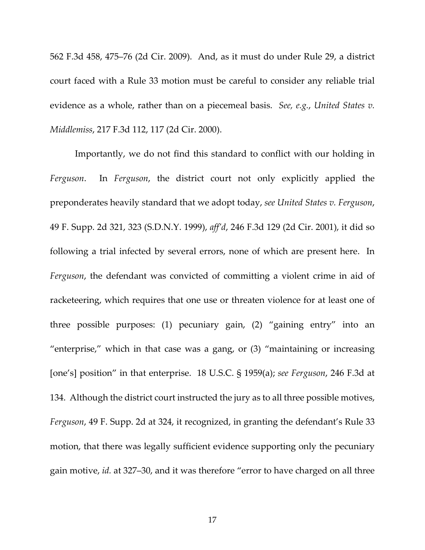562 F.3d 458, 475–76 (2d Cir. 2009). And, as it must do under Rule 29, a district court faced with a Rule 33 motion must be careful to consider any reliable trial evidence as a whole, rather than on a piecemeal basis. *See, e.g.*, *United States v. Middlemiss*, 217 F.3d 112, 117 (2d Cir. 2000).

Importantly, we do not find this standard to conflict with our holding in *Ferguson*. In *Ferguson*, the district court not only explicitly applied the preponderates heavily standard that we adopt today, *see United States v. Ferguson*, 49 F. Supp. 2d 321, 323 (S.D.N.Y. 1999), *aff'd*, 246 F.3d 129 (2d Cir. 2001), it did so following a trial infected by several errors, none of which are present here. In *Ferguson*, the defendant was convicted of committing a violent crime in aid of racketeering, which requires that one use or threaten violence for at least one of three possible purposes: (1) pecuniary gain, (2) "gaining entry" into an "enterprise," which in that case was a gang, or (3) "maintaining or increasing [one's] position" in that enterprise. 18 U.S.C. § 1959(a); *see Ferguson*, 246 F.3d at 134. Although the district court instructed the jury as to all three possible motives, *Ferguson*, 49 F. Supp. 2d at 324, it recognized, in granting the defendant's Rule 33 motion, that there was legally sufficient evidence supporting only the pecuniary gain motive, *id.* at 327–30, and it was therefore "error to have charged on all three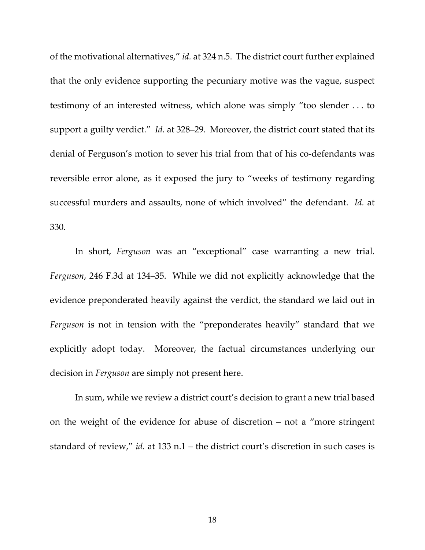of the motivational alternatives," *id.* at 324 n.5. The district court further explained that the only evidence supporting the pecuniary motive was the vague, suspect testimony of an interested witness, which alone was simply "too slender . . . to support a guilty verdict." *Id.* at 328–29. Moreover, the district court stated that its denial of Ferguson's motion to sever his trial from that of his co-defendants was reversible error alone, as it exposed the jury to "weeks of testimony regarding successful murders and assaults, none of which involved" the defendant. *Id.* at 330.

In short, *Ferguson* was an "exceptional" case warranting a new trial. *Ferguson*, 246 F.3d at 134–35. While we did not explicitly acknowledge that the evidence preponderated heavily against the verdict, the standard we laid out in *Ferguson* is not in tension with the "preponderates heavily" standard that we explicitly adopt today. Moreover, the factual circumstances underlying our decision in *Ferguson* are simply not present here.

In sum, while we review a district court's decision to grant a new trial based on the weight of the evidence for abuse of discretion – not a "more stringent standard of review," *id.* at 133 n.1 – the district court's discretion in such cases is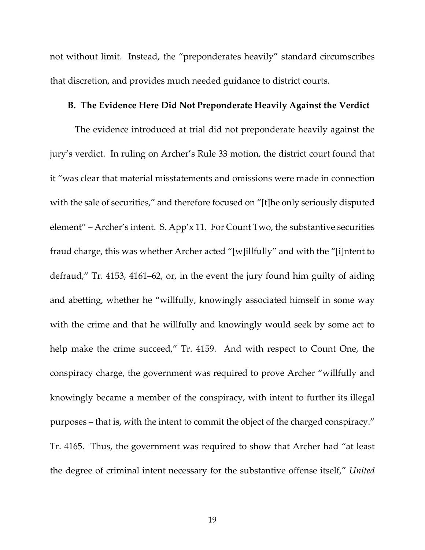not without limit. Instead, the "preponderates heavily" standard circumscribes that discretion, and provides much needed guidance to district courts.

## **B. The Evidence Here Did Not Preponderate Heavily Against the Verdict**

The evidence introduced at trial did not preponderate heavily against the jury's verdict. In ruling on Archer's Rule 33 motion, the district court found that it "was clear that material misstatements and omissions were made in connection with the sale of securities," and therefore focused on "[t]he only seriously disputed element" – Archer's intent. S. App'x 11. For Count Two, the substantive securities fraud charge, this was whether Archer acted "[w]illfully" and with the "[i]ntent to defraud," Tr. 4153, 4161–62, or, in the event the jury found him guilty of aiding and abetting, whether he "willfully, knowingly associated himself in some way with the crime and that he willfully and knowingly would seek by some act to help make the crime succeed," Tr. 4159. And with respect to Count One, the conspiracy charge, the government was required to prove Archer "willfully and knowingly became a member of the conspiracy, with intent to further its illegal purposes – that is, with the intent to commit the object of the charged conspiracy." Tr. 4165. Thus, the government was required to show that Archer had "at least the degree of criminal intent necessary for the substantive offense itself," *United*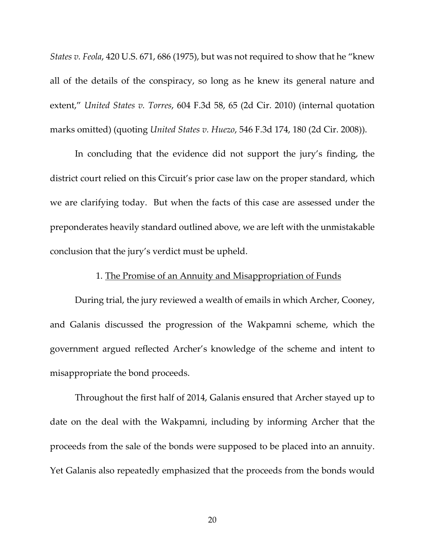*States v. Feola*, 420 U.S. 671, 686 (1975), but was not required to show that he "knew all of the details of the conspiracy, so long as he knew its general nature and extent," *United States v. Torres*, 604 F.3d 58, 65 (2d Cir. 2010) (internal quotation marks omitted) (quoting *United States v. Huezo*, 546 F.3d 174, 180 (2d Cir. 2008)).

In concluding that the evidence did not support the jury's finding, the district court relied on this Circuit's prior case law on the proper standard, which we are clarifying today. But when the facts of this case are assessed under the preponderates heavily standard outlined above, we are left with the unmistakable conclusion that the jury's verdict must be upheld.

#### 1. The Promise of an Annuity and Misappropriation of Funds

During trial, the jury reviewed a wealth of emails in which Archer, Cooney, and Galanis discussed the progression of the Wakpamni scheme, which the government argued reflected Archer's knowledge of the scheme and intent to misappropriate the bond proceeds.

Throughout the first half of 2014, Galanis ensured that Archer stayed up to date on the deal with the Wakpamni, including by informing Archer that the proceeds from the sale of the bonds were supposed to be placed into an annuity. Yet Galanis also repeatedly emphasized that the proceeds from the bonds would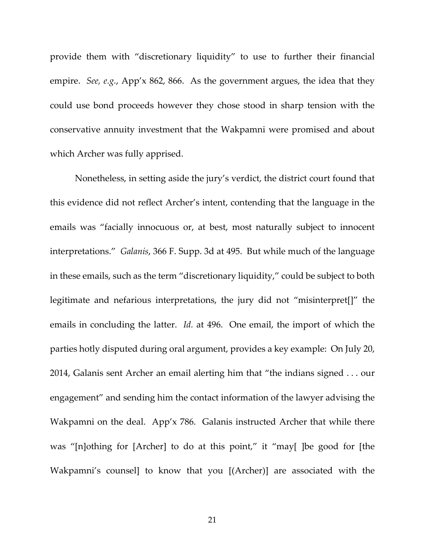provide them with "discretionary liquidity" to use to further their financial empire. *See, e.g.*, App'x 862, 866. As the government argues, the idea that they could use bond proceeds however they chose stood in sharp tension with the conservative annuity investment that the Wakpamni were promised and about which Archer was fully apprised.

Nonetheless, in setting aside the jury's verdict, the district court found that this evidence did not reflect Archer's intent, contending that the language in the emails was "facially innocuous or, at best, most naturally subject to innocent interpretations." *Galanis*, 366 F. Supp. 3d at 495. But while much of the language in these emails, such as the term "discretionary liquidity," could be subject to both legitimate and nefarious interpretations, the jury did not "misinterpret[]" the emails in concluding the latter. *Id.* at 496. One email, the import of which the parties hotly disputed during oral argument, provides a key example: On July 20, 2014, Galanis sent Archer an email alerting him that "the indians signed . . . our engagement" and sending him the contact information of the lawyer advising the Wakpamni on the deal. App'x 786. Galanis instructed Archer that while there was "[n]othing for [Archer] to do at this point," it "may[ ]be good for [the Wakpamni's counsel] to know that you [(Archer)] are associated with the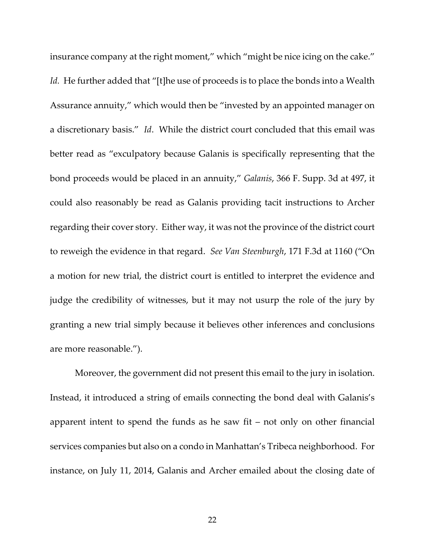insurance company at the right moment," which "might be nice icing on the cake." Id. He further added that "[t]he use of proceeds is to place the bonds into a Wealth Assurance annuity," which would then be "invested by an appointed manager on a discretionary basis." *Id*. While the district court concluded that this email was better read as "exculpatory because Galanis is specifically representing that the bond proceeds would be placed in an annuity," *Galanis*, 366 F. Supp. 3d at 497, it could also reasonably be read as Galanis providing tacit instructions to Archer regarding their cover story. Either way, it was not the province of the district court to reweigh the evidence in that regard. *See Van Steenburgh*, 171 F.3d at 1160 ("On a motion for new trial, the district court is entitled to interpret the evidence and judge the credibility of witnesses, but it may not usurp the role of the jury by granting a new trial simply because it believes other inferences and conclusions are more reasonable.").

Moreover, the government did not present this email to the jury in isolation. Instead, it introduced a string of emails connecting the bond deal with Galanis's apparent intent to spend the funds as he saw fit – not only on other financial services companies but also on a condo in Manhattan's Tribeca neighborhood. For instance, on July 11, 2014, Galanis and Archer emailed about the closing date of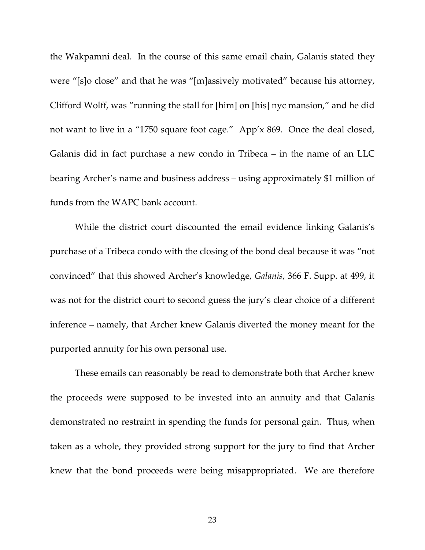the Wakpamni deal. In the course of this same email chain, Galanis stated they were "[s]o close" and that he was "[m]assively motivated" because his attorney, Clifford Wolff, was "running the stall for [him] on [his] nyc mansion," and he did not want to live in a "1750 square foot cage." App'x 869. Once the deal closed, Galanis did in fact purchase a new condo in Tribeca – in the name of an LLC bearing Archer's name and business address – using approximately \$1 million of funds from the WAPC bank account.

While the district court discounted the email evidence linking Galanis's purchase of a Tribeca condo with the closing of the bond deal because it was "not convinced" that this showed Archer's knowledge, *Galanis*, 366 F. Supp. at 499, it was not for the district court to second guess the jury's clear choice of a different inference – namely, that Archer knew Galanis diverted the money meant for the purported annuity for his own personal use.

These emails can reasonably be read to demonstrate both that Archer knew the proceeds were supposed to be invested into an annuity and that Galanis demonstrated no restraint in spending the funds for personal gain. Thus, when taken as a whole, they provided strong support for the jury to find that Archer knew that the bond proceeds were being misappropriated. We are therefore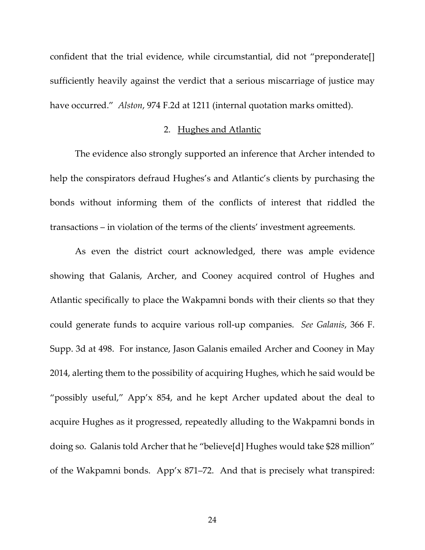confident that the trial evidence, while circumstantial, did not "preponderate[] sufficiently heavily against the verdict that a serious miscarriage of justice may have occurred." *Alston*, 974 F.2d at 1211 (internal quotation marks omitted).

# 2. Hughes and Atlantic

The evidence also strongly supported an inference that Archer intended to help the conspirators defraud Hughes's and Atlantic's clients by purchasing the bonds without informing them of the conflicts of interest that riddled the transactions – in violation of the terms of the clients' investment agreements.

As even the district court acknowledged, there was ample evidence showing that Galanis, Archer, and Cooney acquired control of Hughes and Atlantic specifically to place the Wakpamni bonds with their clients so that they could generate funds to acquire various roll-up companies. *See Galanis*, 366 F. Supp. 3d at 498. For instance, Jason Galanis emailed Archer and Cooney in May 2014, alerting them to the possibility of acquiring Hughes, which he said would be "possibly useful," App'x 854, and he kept Archer updated about the deal to acquire Hughes as it progressed, repeatedly alluding to the Wakpamni bonds in doing so. Galanis told Archer that he "believe[d] Hughes would take \$28 million" of the Wakpamni bonds. App'x 871–72. And that is precisely what transpired: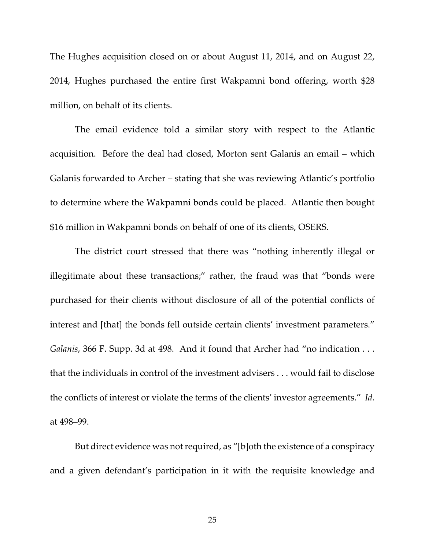The Hughes acquisition closed on or about August 11, 2014, and on August 22, 2014, Hughes purchased the entire first Wakpamni bond offering, worth \$28 million, on behalf of its clients.

The email evidence told a similar story with respect to the Atlantic acquisition. Before the deal had closed, Morton sent Galanis an email – which Galanis forwarded to Archer – stating that she was reviewing Atlantic's portfolio to determine where the Wakpamni bonds could be placed. Atlantic then bought \$16 million in Wakpamni bonds on behalf of one of its clients, OSERS.

The district court stressed that there was "nothing inherently illegal or illegitimate about these transactions;" rather, the fraud was that "bonds were purchased for their clients without disclosure of all of the potential conflicts of interest and [that] the bonds fell outside certain clients' investment parameters." *Galanis*, 366 F. Supp. 3d at 498. And it found that Archer had "no indication . . . that the individuals in control of the investment advisers . . . would fail to disclose the conflicts of interest or violate the terms of the clients' investor agreements." *Id.*  at 498–99.

But direct evidence was not required, as "[b]oth the existence of a conspiracy and a given defendant's participation in it with the requisite knowledge and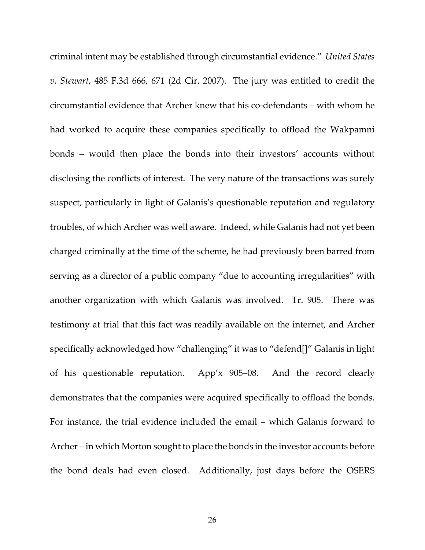criminal intent may be established through circumstantial evidence." *United States v. Stewart*, 485 F.3d 666, 671 (2d Cir. 2007). The jury was entitled to credit the circumstantial evidence that Archer knew that his co-defendants – with whom he had worked to acquire these companies specifically to offload the Wakpamni bonds – would then place the bonds into their investors' accounts without disclosing the conflicts of interest. The very nature of the transactions was surely suspect, particularly in light of Galanis's questionable reputation and regulatory troubles, of which Archer was well aware. Indeed, while Galanis had not yet been charged criminally at the time of the scheme, he had previously been barred from serving as a director of a public company "due to accounting irregularities" with another organization with which Galanis was involved. Tr. 905. There was testimony at trial that this fact was readily available on the internet, and Archer specifically acknowledged how "challenging" it was to "defend[]" Galanis in light of his questionable reputation. App'x 905–08. And the record clearly demonstrates that the companies were acquired specifically to offload the bonds. For instance, the trial evidence included the email – which Galanis forward to Archer – in which Morton sought to place the bonds in the investor accounts before the bond deals had even closed. Additionally, just days before the OSERS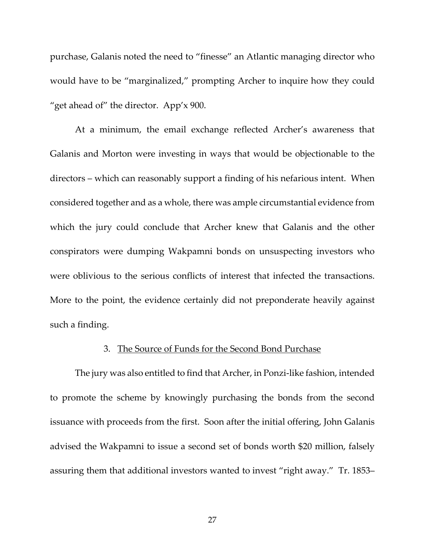purchase, Galanis noted the need to "finesse" an Atlantic managing director who would have to be "marginalized," prompting Archer to inquire how they could "get ahead of" the director. App'x 900.

At a minimum, the email exchange reflected Archer's awareness that Galanis and Morton were investing in ways that would be objectionable to the directors – which can reasonably support a finding of his nefarious intent. When considered together and as a whole, there was ample circumstantial evidence from which the jury could conclude that Archer knew that Galanis and the other conspirators were dumping Wakpamni bonds on unsuspecting investors who were oblivious to the serious conflicts of interest that infected the transactions. More to the point, the evidence certainly did not preponderate heavily against such a finding.

### 3. The Source of Funds for the Second Bond Purchase

The jury was also entitled to find that Archer, in Ponzi-like fashion, intended to promote the scheme by knowingly purchasing the bonds from the second issuance with proceeds from the first. Soon after the initial offering, John Galanis advised the Wakpamni to issue a second set of bonds worth \$20 million, falsely assuring them that additional investors wanted to invest "right away." Tr. 1853–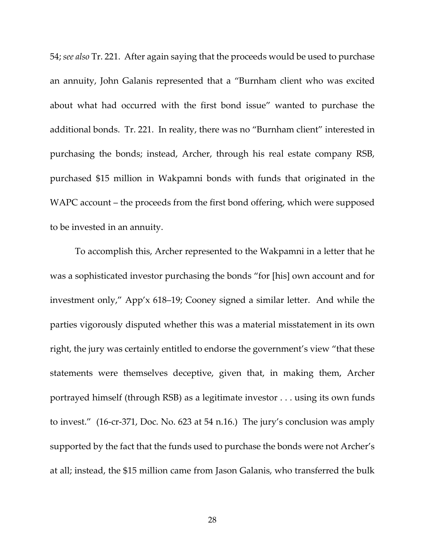54; *see also* Tr. 221.After again saying that the proceeds would be used to purchase an annuity, John Galanis represented that a "Burnham client who was excited about what had occurred with the first bond issue" wanted to purchase the additional bonds. Tr. 221.In reality, there was no "Burnham client" interested in purchasing the bonds; instead, Archer, through his real estate company RSB, purchased \$15 million in Wakpamni bonds with funds that originated in the WAPC account – the proceeds from the first bond offering, which were supposed to be invested in an annuity.

To accomplish this, Archer represented to the Wakpamni in a letter that he was a sophisticated investor purchasing the bonds "for [his] own account and for investment only," App'x 618–19; Cooney signed a similar letter. And while the parties vigorously disputed whether this was a material misstatement in its own right, the jury was certainly entitled to endorse the government's view "that these statements were themselves deceptive, given that, in making them, Archer portrayed himself (through RSB) as a legitimate investor . . . using its own funds to invest." (16-cr-371, Doc. No. 623 at 54 n.16.) The jury's conclusion was amply supported by the fact that the funds used to purchase the bonds were not Archer's at all; instead, the \$15 million came from Jason Galanis, who transferred the bulk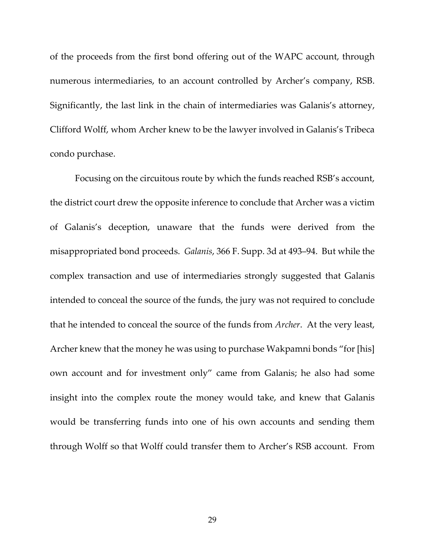of the proceeds from the first bond offering out of the WAPC account, through numerous intermediaries, to an account controlled by Archer's company, RSB. Significantly, the last link in the chain of intermediaries was Galanis's attorney, Clifford Wolff, whom Archer knew to be the lawyer involved in Galanis's Tribeca condo purchase.

Focusing on the circuitous route by which the funds reached RSB's account, the district court drew the opposite inference to conclude that Archer was a victim of Galanis's deception, unaware that the funds were derived from the misappropriated bond proceeds. *Galanis*, 366 F. Supp. 3d at 493–94. But while the complex transaction and use of intermediaries strongly suggested that Galanis intended to conceal the source of the funds, the jury was not required to conclude that he intended to conceal the source of the funds from *Archer*. At the very least, Archer knew that the money he was using to purchase Wakpamni bonds "for [his] own account and for investment only" came from Galanis; he also had some insight into the complex route the money would take, and knew that Galanis would be transferring funds into one of his own accounts and sending them through Wolff so that Wolff could transfer them to Archer's RSB account. From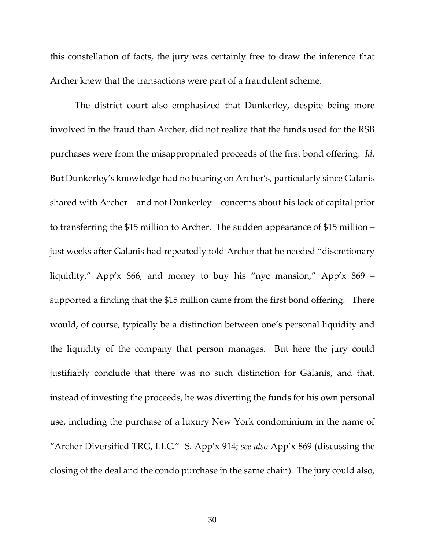this constellation of facts, the jury was certainly free to draw the inference that Archer knew that the transactions were part of a fraudulent scheme.

The district court also emphasized that Dunkerley, despite being more involved in the fraud than Archer, did not realize that the funds used for the RSB purchases were from the misappropriated proceeds of the first bond offering. *Id*. But Dunkerley's knowledge had no bearing on Archer's, particularly since Galanis shared with Archer – and not Dunkerley – concerns about his lack of capital prior to transferring the \$15 million to Archer. The sudden appearance of \$15 million – just weeks after Galanis had repeatedly told Archer that he needed "discretionary liquidity," App'x 866, and money to buy his "nyc mansion," App'x 869 – supported a finding that the \$15 million came from the first bond offering. There would, of course, typically be a distinction between one's personal liquidity and the liquidity of the company that person manages. But here the jury could justifiably conclude that there was no such distinction for Galanis, and that, instead of investing the proceeds, he was diverting the funds for his own personal use, including the purchase of a luxury New York condominium in the name of "Archer Diversified TRG, LLC." S. App'x 914; *see also* App'x 869 (discussing the closing of the deal and the condo purchase in the same chain). The jury could also,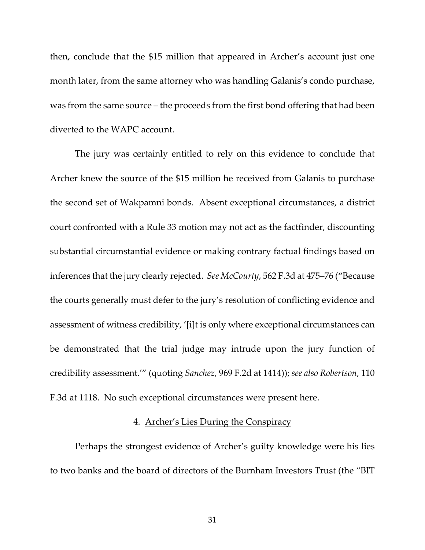then, conclude that the \$15 million that appeared in Archer's account just one month later, from the same attorney who was handling Galanis's condo purchase, was from the same source – the proceeds from the first bond offering that had been diverted to the WAPC account.

The jury was certainly entitled to rely on this evidence to conclude that Archer knew the source of the \$15 million he received from Galanis to purchase the second set of Wakpamni bonds. Absent exceptional circumstances, a district court confronted with a Rule 33 motion may not act as the factfinder, discounting substantial circumstantial evidence or making contrary factual findings based on inferences that the jury clearly rejected. *See McCourty*, 562 F.3d at 475–76 ("Because the courts generally must defer to the jury's resolution of conflicting evidence and assessment of witness credibility, '[i]t is only where exceptional circumstances can be demonstrated that the trial judge may intrude upon the jury function of credibility assessment.'" (quoting *Sanchez*, 969 F.2d at 1414)); *see also Robertson*, 110 F.3d at 1118. No such exceptional circumstances were present here.

# 4. Archer's Lies During the Conspiracy

Perhaps the strongest evidence of Archer's guilty knowledge were his lies to two banks and the board of directors of the Burnham Investors Trust (the "BIT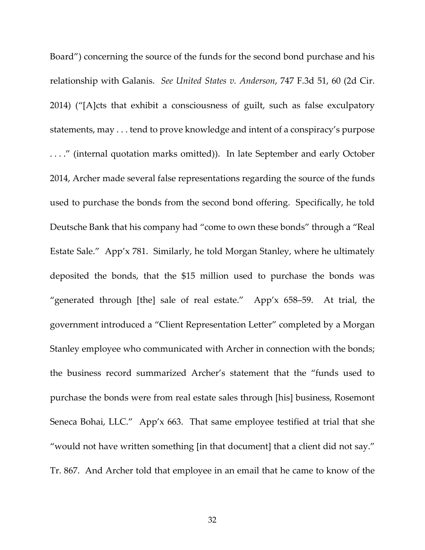Board") concerning the source of the funds for the second bond purchase and his relationship with Galanis. *See United States v. Anderson*, 747 F.3d 51, 60 (2d Cir. 2014) ("[A]cts that exhibit a consciousness of guilt, such as false exculpatory statements, may . . . tend to prove knowledge and intent of a conspiracy's purpose . . . ." (internal quotation marks omitted)). In late September and early October 2014, Archer made several false representations regarding the source of the funds used to purchase the bonds from the second bond offering. Specifically, he told Deutsche Bank that his company had "come to own these bonds" through a "Real Estate Sale." App'x 781. Similarly, he told Morgan Stanley, where he ultimately deposited the bonds, that the \$15 million used to purchase the bonds was "generated through [the] sale of real estate." App'x 658–59. At trial, the government introduced a "Client Representation Letter" completed by a Morgan Stanley employee who communicated with Archer in connection with the bonds; the business record summarized Archer's statement that the "funds used to purchase the bonds were from real estate sales through [his] business, Rosemont Seneca Bohai, LLC." App'x 663. That same employee testified at trial that she "would not have written something [in that document] that a client did not say." Tr. 867. And Archer told that employee in an email that he came to know of the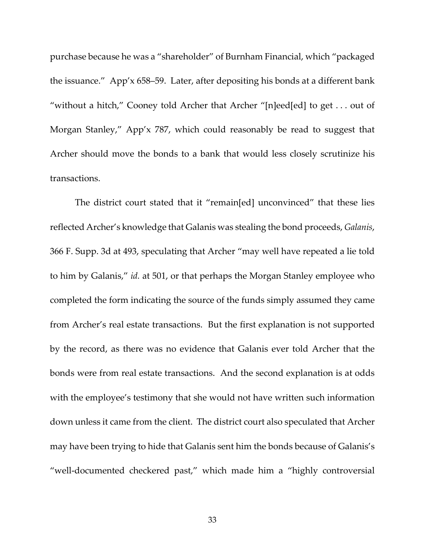purchase because he was a "shareholder" of Burnham Financial, which "packaged the issuance." App'x 658–59. Later, after depositing his bonds at a different bank "without a hitch," Cooney told Archer that Archer "[n]eed[ed] to get . . . out of Morgan Stanley," App'x 787, which could reasonably be read to suggest that Archer should move the bonds to a bank that would less closely scrutinize his transactions.

The district court stated that it "remain[ed] unconvinced" that these lies reflected Archer's knowledge that Galanis was stealing the bond proceeds, *Galanis*, 366 F. Supp. 3d at 493, speculating that Archer "may well have repeated a lie told to him by Galanis," *id.* at 501, or that perhaps the Morgan Stanley employee who completed the form indicating the source of the funds simply assumed they came from Archer's real estate transactions.But the first explanation is not supported by the record, as there was no evidence that Galanis ever told Archer that the bonds were from real estate transactions. And the second explanation is at odds with the employee's testimony that she would not have written such information down unless it came from the client. The district court also speculated that Archer may have been trying to hide that Galanis sent him the bonds because of Galanis's "well-documented checkered past," which made him a "highly controversial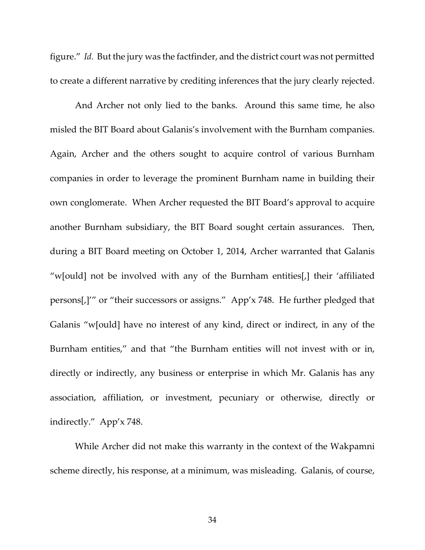figure." *Id.* But the jury was the factfinder, and the district court was not permitted to create a different narrative by crediting inferences that the jury clearly rejected.

And Archer not only lied to the banks. Around this same time, he also misled the BIT Board about Galanis's involvement with the Burnham companies. Again, Archer and the others sought to acquire control of various Burnham companies in order to leverage the prominent Burnham name in building their own conglomerate. When Archer requested the BIT Board's approval to acquire another Burnham subsidiary, the BIT Board sought certain assurances. Then, during a BIT Board meeting on October 1, 2014, Archer warranted that Galanis "w[ould] not be involved with any of the Burnham entities[,] their 'affiliated persons[,]'" or "their successors or assigns." App'x 748. He further pledged that Galanis "w[ould] have no interest of any kind, direct or indirect, in any of the Burnham entities," and that "the Burnham entities will not invest with or in, directly or indirectly, any business or enterprise in which Mr. Galanis has any association, affiliation, or investment, pecuniary or otherwise, directly or indirectly." App'x 748.

While Archer did not make this warranty in the context of the Wakpamni scheme directly, his response, at a minimum, was misleading. Galanis, of course,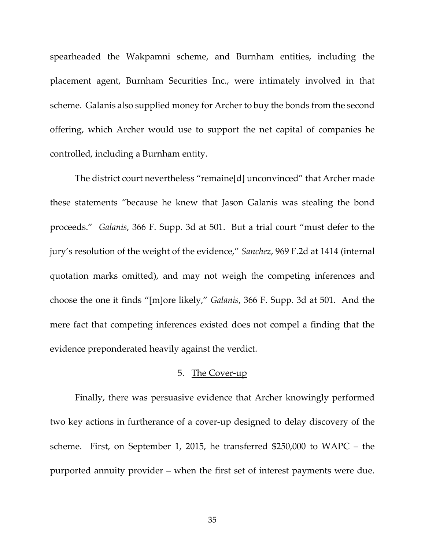spearheaded the Wakpamni scheme, and Burnham entities, including the placement agent, Burnham Securities Inc., were intimately involved in that scheme. Galanis also supplied money for Archer to buy the bonds from the second offering, which Archer would use to support the net capital of companies he controlled, including a Burnham entity.

The district court nevertheless "remaine[d] unconvinced" that Archer made these statements "because he knew that Jason Galanis was stealing the bond proceeds." *Galanis*, 366 F. Supp. 3d at 501. But a trial court "must defer to the jury's resolution of the weight of the evidence," *Sanchez*, 969 F.2d at 1414 (internal quotation marks omitted), and may not weigh the competing inferences and choose the one it finds "[m]ore likely," *Galanis*, 366 F. Supp. 3d at 501. And the mere fact that competing inferences existed does not compel a finding that the evidence preponderated heavily against the verdict.

#### 5. The Cover-up

Finally, there was persuasive evidence that Archer knowingly performed two key actions in furtherance of a cover-up designed to delay discovery of the scheme. First, on September 1, 2015, he transferred \$250,000 to WAPC – the purported annuity provider – when the first set of interest payments were due.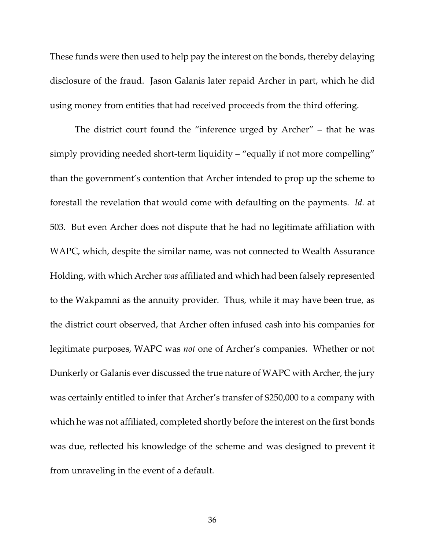These funds were then used to help pay the interest on the bonds, thereby delaying disclosure of the fraud. Jason Galanis later repaid Archer in part, which he did using money from entities that had received proceeds from the third offering.

The district court found the "inference urged by Archer" – that he was simply providing needed short-term liquidity – "equally if not more compelling" than the government's contention that Archer intended to prop up the scheme to forestall the revelation that would come with defaulting on the payments. *Id.* at 503*.* But even Archer does not dispute that he had no legitimate affiliation with WAPC, which, despite the similar name, was not connected to Wealth Assurance Holding, with which Archer *was* affiliated and which had been falsely represented to the Wakpamni as the annuity provider. Thus, while it may have been true, as the district court observed, that Archer often infused cash into his companies for legitimate purposes, WAPC was *not* one of Archer's companies. Whether or not Dunkerly or Galanis ever discussed the true nature of WAPC with Archer, the jury was certainly entitled to infer that Archer's transfer of \$250,000 to a company with which he was not affiliated, completed shortly before the interest on the first bonds was due, reflected his knowledge of the scheme and was designed to prevent it from unraveling in the event of a default.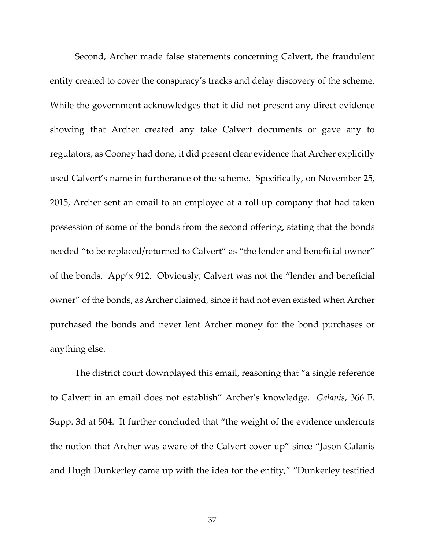Second, Archer made false statements concerning Calvert, the fraudulent entity created to cover the conspiracy's tracks and delay discovery of the scheme. While the government acknowledges that it did not present any direct evidence showing that Archer created any fake Calvert documents or gave any to regulators, as Cooney had done, it did present clear evidence that Archer explicitly used Calvert's name in furtherance of the scheme. Specifically, on November 25, 2015, Archer sent an email to an employee at a roll-up company that had taken possession of some of the bonds from the second offering, stating that the bonds needed "to be replaced/returned to Calvert" as "the lender and beneficial owner" of the bonds. App'x 912. Obviously, Calvert was not the "lender and beneficial owner" of the bonds, as Archer claimed, since it had not even existed when Archer purchased the bonds and never lent Archer money for the bond purchases or anything else.

The district court downplayed this email, reasoning that "a single reference to Calvert in an email does not establish" Archer's knowledge. *Galanis*, 366 F. Supp. 3d at 504. It further concluded that "the weight of the evidence undercuts the notion that Archer was aware of the Calvert cover-up" since "Jason Galanis and Hugh Dunkerley came up with the idea for the entity," "Dunkerley testified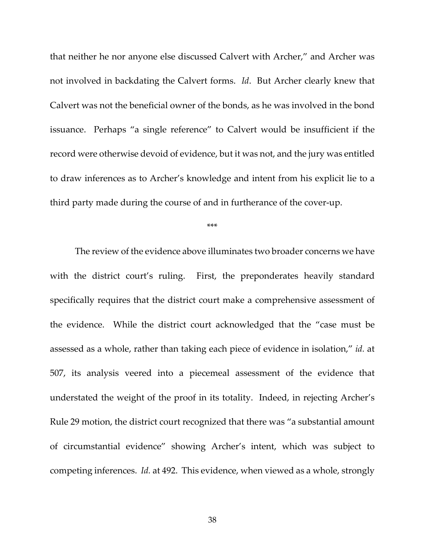that neither he nor anyone else discussed Calvert with Archer," and Archer was not involved in backdating the Calvert forms. *Id*. But Archer clearly knew that Calvert was not the beneficial owner of the bonds, as he was involved in the bond issuance. Perhaps "a single reference" to Calvert would be insufficient if the record were otherwise devoid of evidence, but it was not, and the jury was entitled to draw inferences as to Archer's knowledge and intent from his explicit lie to a third party made during the course of and in furtherance of the cover-up.

\*\*\*

The review of the evidence above illuminates two broader concerns we have with the district court's ruling. First, the preponderates heavily standard specifically requires that the district court make a comprehensive assessment of the evidence. While the district court acknowledged that the "case must be assessed as a whole, rather than taking each piece of evidence in isolation," *id.* at 507, its analysis veered into a piecemeal assessment of the evidence that understated the weight of the proof in its totality. Indeed, in rejecting Archer's Rule 29 motion, the district court recognized that there was "a substantial amount of circumstantial evidence" showing Archer's intent, which was subject to competing inferences. *Id.* at 492. This evidence, when viewed as a whole, strongly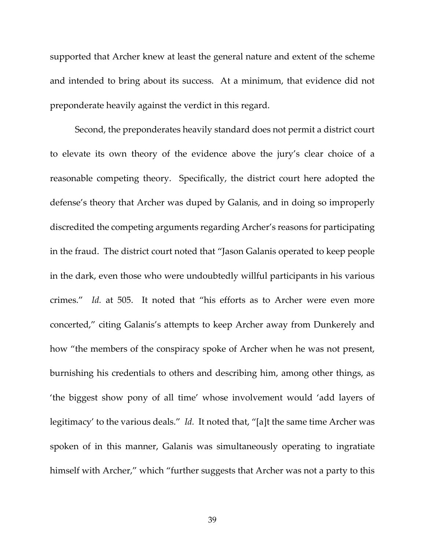supported that Archer knew at least the general nature and extent of the scheme and intended to bring about its success. At a minimum, that evidence did not preponderate heavily against the verdict in this regard.

Second, the preponderates heavily standard does not permit a district court to elevate its own theory of the evidence above the jury's clear choice of a reasonable competing theory. Specifically, the district court here adopted the defense's theory that Archer was duped by Galanis, and in doing so improperly discredited the competing arguments regarding Archer's reasons for participating in the fraud. The district court noted that "Jason Galanis operated to keep people in the dark, even those who were undoubtedly willful participants in his various crimes." *Id.* at 505. It noted that "his efforts as to Archer were even more concerted," citing Galanis's attempts to keep Archer away from Dunkerely and how "the members of the conspiracy spoke of Archer when he was not present, burnishing his credentials to others and describing him, among other things, as 'the biggest show pony of all time' whose involvement would 'add layers of legitimacy' to the various deals." *Id.* It noted that, "[a]t the same time Archer was spoken of in this manner, Galanis was simultaneously operating to ingratiate himself with Archer," which "further suggests that Archer was not a party to this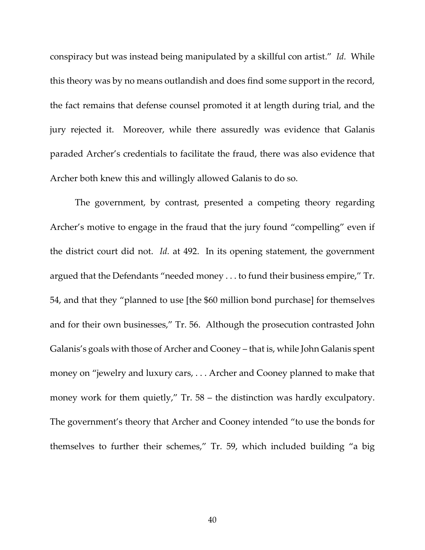conspiracy but was instead being manipulated by a skillful con artist." *Id.* While this theory was by no means outlandish and does find some support in the record, the fact remains that defense counsel promoted it at length during trial, and the jury rejected it. Moreover, while there assuredly was evidence that Galanis paraded Archer's credentials to facilitate the fraud, there was also evidence that Archer both knew this and willingly allowed Galanis to do so.

The government, by contrast, presented a competing theory regarding Archer's motive to engage in the fraud that the jury found "compelling" even if the district court did not. *Id.* at 492. In its opening statement, the government argued that the Defendants "needed money . . . to fund their business empire," Tr. 54, and that they "planned to use [the \$60 million bond purchase] for themselves and for their own businesses," Tr. 56. Although the prosecution contrasted John Galanis's goals with those of Archer and Cooney – that is, while John Galanis spent money on "jewelry and luxury cars, . . . Archer and Cooney planned to make that money work for them quietly," Tr. 58 – the distinction was hardly exculpatory. The government's theory that Archer and Cooney intended "to use the bonds for themselves to further their schemes," Tr. 59, which included building "a big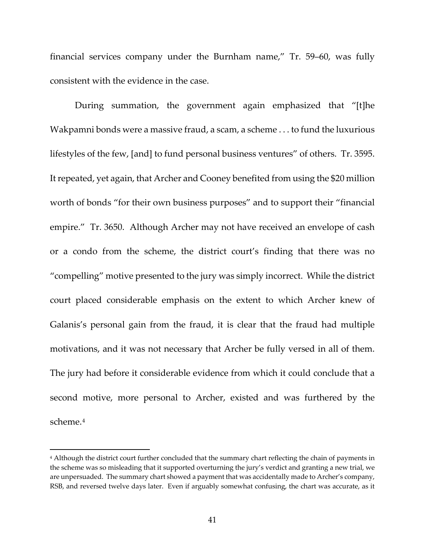financial services company under the Burnham name," Tr. 59–60, was fully consistent with the evidence in the case.

During summation, the government again emphasized that "[t]he Wakpamni bonds were a massive fraud, a scam, a scheme . . . to fund the luxurious lifestyles of the few, [and] to fund personal business ventures" of others. Tr. 3595. It repeated, yet again, that Archer and Cooney benefited from using the \$20 million worth of bonds "for their own business purposes" and to support their "financial empire." Tr. 3650. Although Archer may not have received an envelope of cash or a condo from the scheme, the district court's finding that there was no "compelling" motive presented to the jury was simply incorrect. While the district court placed considerable emphasis on the extent to which Archer knew of Galanis's personal gain from the fraud, it is clear that the fraud had multiple motivations, and it was not necessary that Archer be fully versed in all of them. The jury had before it considerable evidence from which it could conclude that a second motive, more personal to Archer, existed and was furthered by the scheme.[4](#page-40-0) 

<span id="page-40-0"></span><sup>4</sup> Although the district court further concluded that the summary chart reflecting the chain of payments in the scheme was so misleading that it supported overturning the jury's verdict and granting a new trial, we are unpersuaded. The summary chart showed a payment that was accidentally made to Archer's company, RSB, and reversed twelve days later. Even if arguably somewhat confusing, the chart was accurate, as it